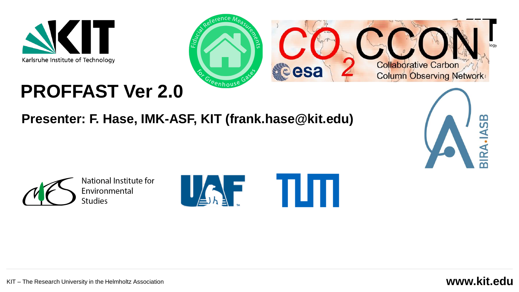



## **PROFFAST Ver 2.0**

#### **Presenter: F. Hase, IMK-ASF, KIT (frank.hase@kit.edu)**





National Institute for Environmental **Studies** 



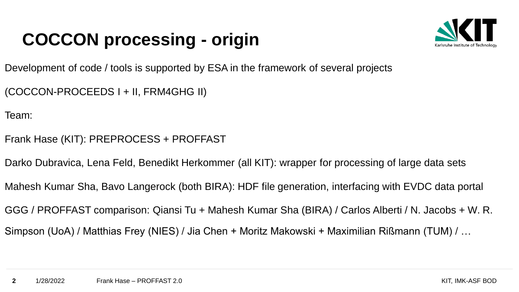## **COCCON processing - origin**



Development of code / tools is supported by ESA in the framework of several projects

(COCCON-PROCEEDS I + II, FRM4GHG II)

Team:

- Frank Hase (KIT): PREPROCESS + PROFFAST
- Darko Dubravica, Lena Feld, Benedikt Herkommer (all KIT): wrapper for processing of large data sets
- Mahesh Kumar Sha, Bavo Langerock (both BIRA): HDF file generation, interfacing with EVDC data portal

GGG / PROFFAST comparison: Qiansi Tu + Mahesh Kumar Sha (BIRA) / Carlos Alberti / N. Jacobs + W. R.

Simpson (UoA) / Matthias Frey (NIES) / Jia Chen + Moritz Makowski + Maximilian Rißmann (TUM) / …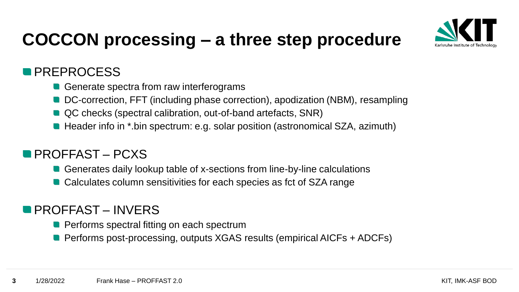

### **COCCON processing – a three step procedure**

#### **PREPROCESS**

- Generate spectra from raw interferograms
- DC-correction, FFT (including phase correction), apodization (NBM), resampling
- QC checks (spectral calibration, out-of-band artefacts, SNR)
- Header info in \*.bin spectrum: e.g. solar position (astronomical SZA, azimuth)

#### **PROFFAST – PCXS**

- Generates daily lookup table of x-sections from line-by-line calculations
- Calculates column sensitivities for each species as fct of SZA range

#### **PROFFAST – INVERS**

- **Performs spectral fitting on each spectrum**
- **Performs post-processing, outputs XGAS results (empirical AICFs + ADCFs)**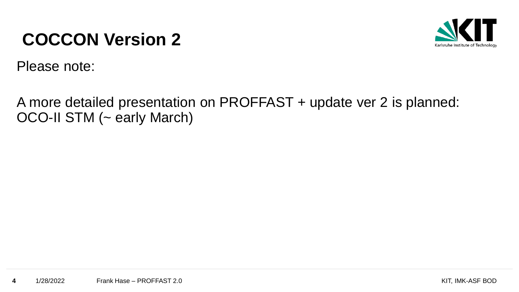### **COCCON Version 2**



Please note:

A more detailed presentation on PROFFAST + update ver 2 is planned: OCO-II STM (~ early March)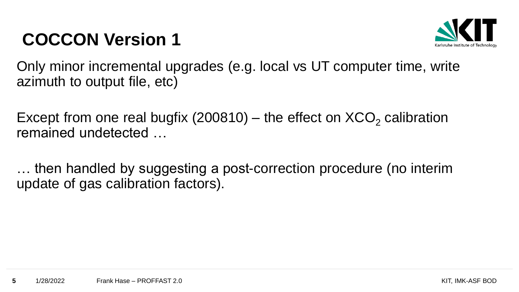### **COCCON Version 1**



Only minor incremental upgrades (e.g. local vs UT computer time, write azimuth to output file, etc)

Except from one real bugfix (200810) – the effect on  $XCO<sub>2</sub>$  calibration remained undetected …

… then handled by suggesting a post-correction procedure (no interim update of gas calibration factors).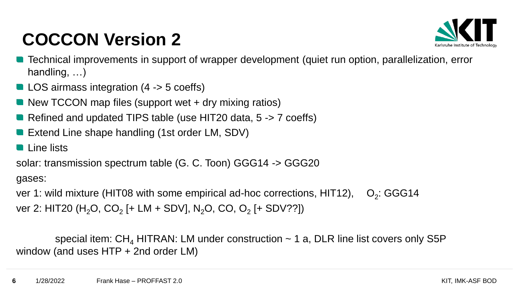## **COCCON Version 2**



- Technical improvements in support of wrapper development (quiet run option, parallelization, error handling, …)
- LOS airmass integration (4 -> 5 coeffs)
- New TCCON map files (support wet + dry mixing ratios)
- Refined and updated TIPS table (use HIT20 data, 5 -> 7 coeffs)
- Extend Line shape handling (1st order LM, SDV)
- **Line lists**

solar: transmission spectrum table (G. C. Toon) GGG14 -> GGG20

gases:

ver 1: wild mixture (HIT08 with some empirical ad-hoc corrections, HIT12),  $O<sub>2</sub>$ : GGG14 ver 2: HIT20 (H<sub>2</sub>O, CO<sub>2</sub> [+ LM + SDV], N<sub>2</sub>O, CO, O<sub>2</sub> [+ SDV??])

special item:  $CH_4$  HITRAN: LM under construction  $\sim$  1 a, DLR line list covers only S5P window (and uses HTP + 2nd order LM)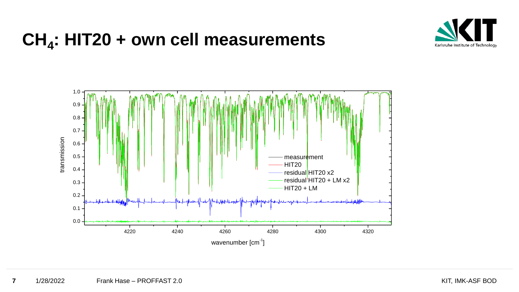# **CH<sup>4</sup> : HIT20 + own cell measurements**



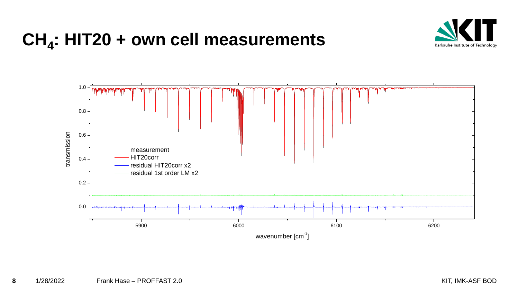# **CH<sup>4</sup> : HIT20 + own cell measurements**